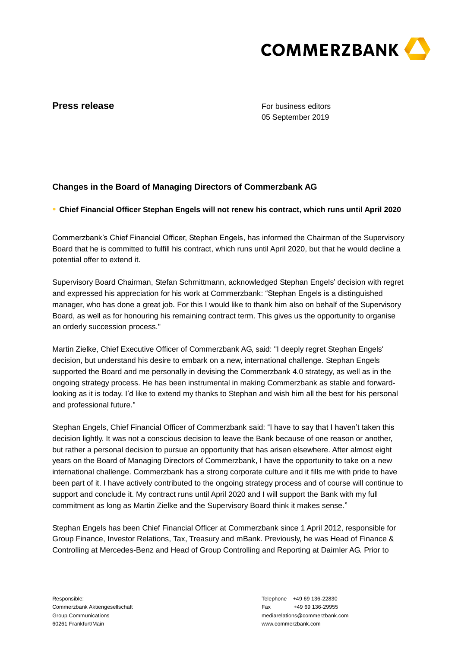

## **Press release**

For business editors 05 September 2019

# **Changes in the Board of Managing Directors of Commerzbank AG**

**● Chief Financial Officer Stephan Engels will not renew his contract, which runs until April 2020**

Commerzbank's Chief Financial Officer, Stephan Engels, has informed the Chairman of the Supervisory Board that he is committed to fulfill his contract, which runs until April 2020, but that he would decline a potential offer to extend it.

Supervisory Board Chairman, Stefan Schmittmann, acknowledged Stephan Engels' decision with regret and expressed his appreciation for his work at Commerzbank: "Stephan Engels is a distinguished manager, who has done a great job. For this I would like to thank him also on behalf of the Supervisory Board, as well as for honouring his remaining contract term. This gives us the opportunity to organise an orderly succession process."

Martin Zielke, Chief Executive Officer of Commerzbank AG, said: "I deeply regret Stephan Engels' decision, but understand his desire to embark on a new, international challenge. Stephan Engels supported the Board and me personally in devising the Commerzbank 4.0 strategy, as well as in the ongoing strategy process. He has been instrumental in making Commerzbank as stable and forwardlooking as it is today. I'd like to extend my thanks to Stephan and wish him all the best for his personal and professional future."

Stephan Engels, Chief Financial Officer of Commerzbank said: "I have to say that I haven't taken this decision lightly. It was not a conscious decision to leave the Bank because of one reason or another, but rather a personal decision to pursue an opportunity that has arisen elsewhere. After almost eight years on the Board of Managing Directors of Commerzbank, I have the opportunity to take on a new international challenge. Commerzbank has a strong corporate culture and it fills me with pride to have been part of it. I have actively contributed to the ongoing strategy process and of course will continue to support and conclude it. My contract runs until April 2020 and I will support the Bank with my full commitment as long as Martin Zielke and the Supervisory Board think it makes sense."

Stephan Engels has been Chief Financial Officer at Commerzbank since 1 April 2012, responsible for Group Finance, Investor Relations, Tax, Treasury and mBank. Previously, he was Head of Finance & Controlling at Mercedes-Benz and Head of Group Controlling and Reporting at Daimler AG. Prior to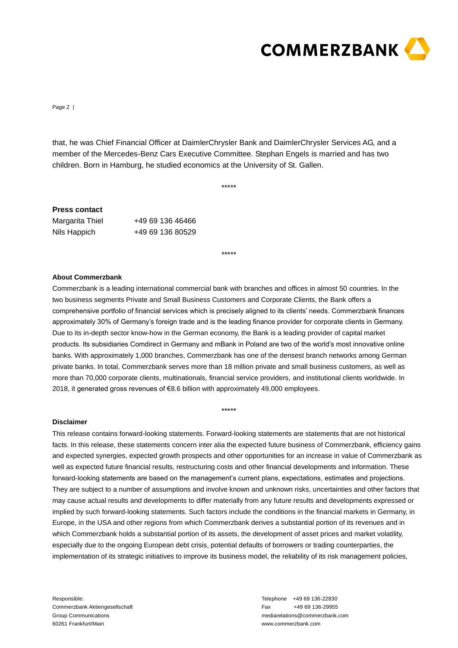

Page 2 |

that, he was Chief Financial Officer at DaimlerChrysler Bank and DaimlerChrysler Services AG, and a member of the Mercedes-Benz Cars Executive Committee. Stephan Engels is married and has two children. Born in Hamburg, he studied economics at the University of St. Gallen.

\*\*\*\*\*

### **Press contact**

| Margarita Thiel | +49 69 136 46466 |
|-----------------|------------------|
| Nils Happich    | +49 69 136 80529 |

\*\*\*\*\*

#### **About Commerzbank**

Commerzbank is a leading international commercial bank with branches and offices in almost 50 countries. In the two business segments Private and Small Business Customers and Corporate Clients, the Bank offers a comprehensive portfolio of financial services which is precisely aligned to its clients' needs. Commerzbank finances approximately 30% of Germany's foreign trade and is the leading finance provider for corporate clients in Germany. Due to its in-depth sector know-how in the German economy, the Bank is a leading provider of capital market products. Its subsidiaries Comdirect in Germany and mBank in Poland are two of the world's most innovative online banks. With approximately 1,000 branches, Commerzbank has one of the densest branch networks among German private banks. In total, Commerzbank serves more than 18 million private and small business customers, as well as more than 70,000 corporate clients, multinationals, financial service providers, and institutional clients worldwide. In 2018, it generated gross revenues of €8.6 billion with approximately 49,000 employees.

\*\*\*\*\*

### **Disclaimer**

This release contains forward-looking statements. Forward-looking statements are statements that are not historical facts. In this release, these statements concern inter alia the expected future business of Commerzbank, efficiency gains and expected synergies, expected growth prospects and other opportunities for an increase in value of Commerzbank as well as expected future financial results, restructuring costs and other financial developments and information. These forward-looking statements are based on the management's current plans, expectations, estimates and projections. They are subject to a number of assumptions and involve known and unknown risks, uncertainties and other factors that may cause actual results and developments to differ materially from any future results and developments expressed or implied by such forward-looking statements. Such factors include the conditions in the financial markets in Germany, in Europe, in the USA and other regions from which Commerzbank derives a substantial portion of its revenues and in which Commerzbank holds a substantial portion of its assets, the development of asset prices and market volatility, especially due to the ongoing European debt crisis, potential defaults of borrowers or trading counterparties, the implementation of its strategic initiatives to improve its business model, the reliability of its risk management policies,

Responsible: Commerzbank Aktiengesellschaft Group Communications 60261 Frankfurt/Main

Telephone +49 69 136-22830 Fax +49 69 136-29955 mediarelations@commerzbank.com www.commerzbank.com